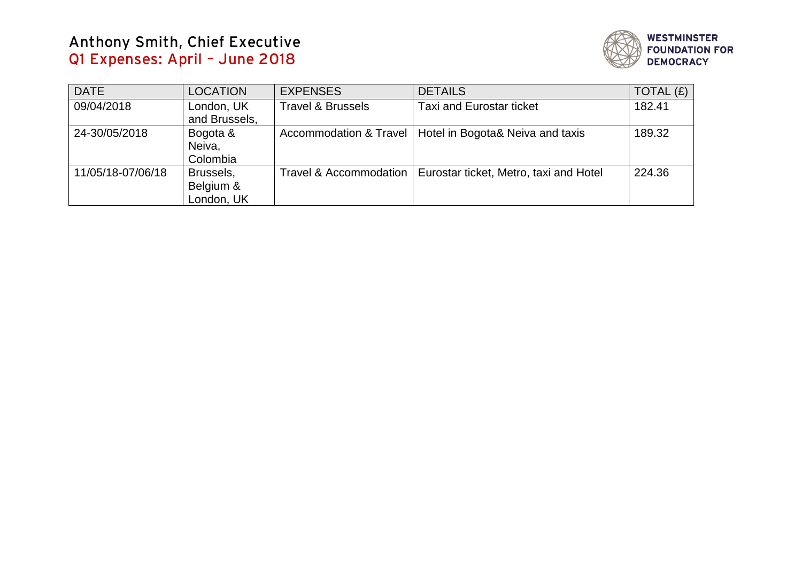# **Anthony Smith, Chief Executive Q1 Expenses: April – June 2018**



| <b>DATE</b>       | <b>LOCATION</b>                      | <b>EXPENSES</b>              | <b>DETAILS</b>                         | TOTAL $(f)$ |
|-------------------|--------------------------------------|------------------------------|----------------------------------------|-------------|
| 09/04/2018        | London, UK<br>and Brussels,          | <b>Travel &amp; Brussels</b> | <b>Taxi and Eurostar ticket</b>        | 182.41      |
| 24-30/05/2018     | Bogota &<br>Neiva,<br>Colombia       | Accommodation & Travel       | Hotel in Bogota& Neiva and taxis       | 189.32      |
| 11/05/18-07/06/18 | Brussels,<br>Belgium &<br>London, UK | Travel & Accommodation       | Eurostar ticket, Metro, taxi and Hotel | 224.36      |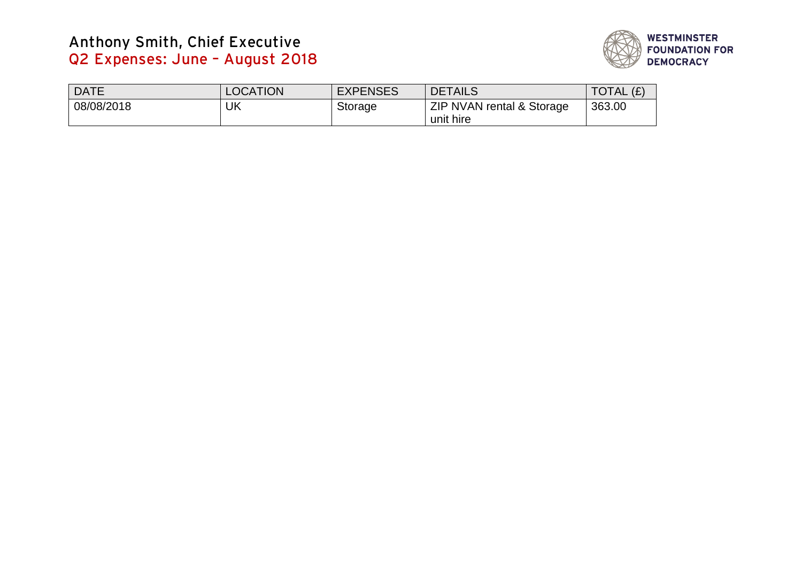# **Anthony Smith, Chief Executive Q2 Expenses: June – August 2018**



| <b>DATE</b> | <b>LOCATION</b> | <b>EXPENSES</b> | <b>DETAILS</b>            | 'ء)<br><b>TAL</b><br>14. |
|-------------|-----------------|-----------------|---------------------------|--------------------------|
| 08/08/2018  | UK              | <b>Storage</b>  | ZIP NVAN rental & Storage | 363.00                   |
|             |                 |                 | unit hire                 |                          |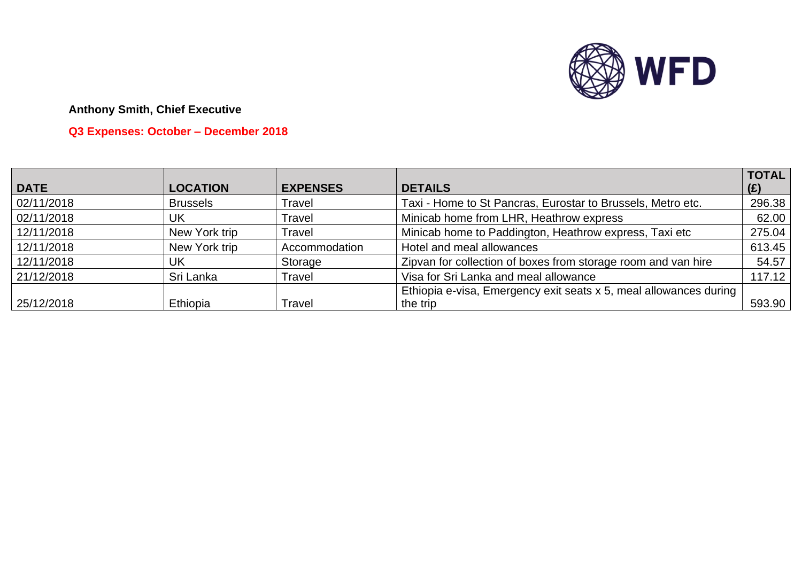

## **Anthony Smith, Chief Executive**

## **Q3 Expenses: October – December 2018**

|             |                 |                 |                                                                   | <b>TOTAL</b> |
|-------------|-----------------|-----------------|-------------------------------------------------------------------|--------------|
| <b>DATE</b> | <b>LOCATION</b> | <b>EXPENSES</b> | <b>DETAILS</b>                                                    | (E)          |
| 02/11/2018  | <b>Brussels</b> | Travel          | Taxi - Home to St Pancras, Eurostar to Brussels, Metro etc.       | 296.38       |
| 02/11/2018  | UK              | Travel          | Minicab home from LHR, Heathrow express                           | 62.00        |
| 12/11/2018  | New York trip   | Travel          | Minicab home to Paddington, Heathrow express, Taxi etc            | 275.04       |
| 12/11/2018  | New York trip   | Accommodation   | Hotel and meal allowances                                         | 613.45       |
| 12/11/2018  | UK              | Storage         | Zipvan for collection of boxes from storage room and van hire     | 54.57        |
| 21/12/2018  | Sri Lanka       | Travel          | Visa for Sri Lanka and meal allowance                             | 117.12       |
|             |                 |                 | Ethiopia e-visa, Emergency exit seats x 5, meal allowances during |              |
| 25/12/2018  | Ethiopia        | Travel          | the trip                                                          | 593.90       |